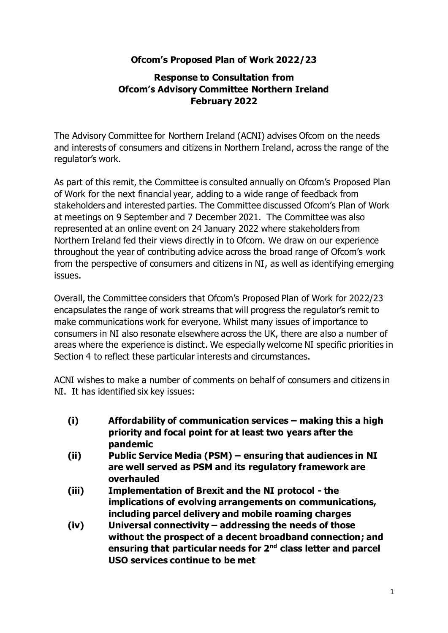## **Ofcom's Proposed Plan of Work 2022/23**

#### **Response to Consultation from Ofcom's Advisory Committee Northern Ireland February 2022**

The Advisory Committee for Northern Ireland (ACNI) advises Ofcom on the needs and interests of consumers and citizens in Northern Ireland, across the range of the regulator's work.

As part of this remit, the Committee is consulted annually on Ofcom's Proposed Plan of Work for the next financial year, adding to a wide range of feedback from stakeholders and interested parties. The Committee discussed Ofcom's Plan of Work at meetings on 9 September and 7 December 2021. The Committee was also represented at an online event on 24 January 2022 where stakeholders from Northern Ireland fed their views directly in to Ofcom. We draw on our experience throughout the year of contributing advice across the broad range of Ofcom's work from the perspective of consumers and citizens in NI, as well as identifying emerging issues.

Overall, the Committee considers that Ofcom's Proposed Plan of Work for 2022/23 encapsulates the range of work streams that will progress the regulator's remit to make communications work for everyone. Whilst many issues of importance to consumers in NI also resonate elsewhere across the UK, there are also a number of areas where the experience is distinct. We especially welcome NI specific priorities in Section 4 to reflect these particular interests and circumstances.

ACNI wishes to make a number of comments on behalf of consumers and citizens in NI. It has identified six key issues:

- **(i) Affordability of communication services – making this a high priority and focal point for at least two years after the pandemic**
- **(ii) Public Service Media (PSM) – ensuring that audiences in NI are well served as PSM and its regulatory framework are overhauled**
- **(iii) Implementation of Brexit and the NI protocol - the implications of evolving arrangements on communications, including parcel delivery and mobile roaming charges**
- **(iv) Universal connectivity – addressing the needs of those without the prospect of a decent broadband connection; and ensuring that particular needs for 2nd class letter and parcel USO services continue to be met**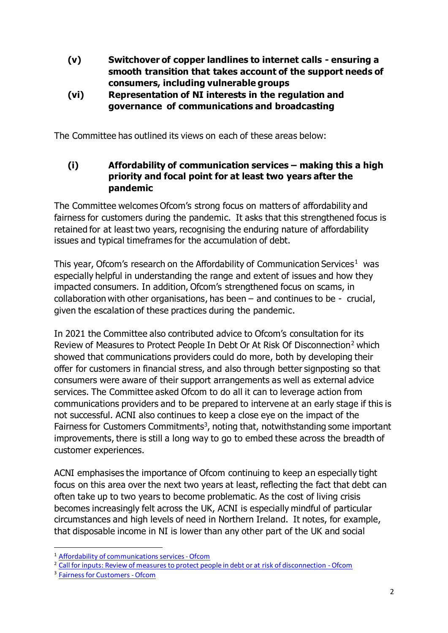- **(v) Switchover of copper landlines to internet calls - ensuring a smooth transition that takes account of the support needs of consumers, including vulnerable groups**
- **(vi) Representation of NI interests in the regulation and governance of communications and broadcasting**

The Committee has outlined its views on each of these areas below:

**(i) Affordability of communication services – making this a high priority and focal point for at least two years after the pandemic** 

The Committee welcomes Ofcom's strong focus on matters of affordability and fairness for customers during the pandemic. It asks that this strengthened focus is retained for at least two years, recognising the enduring nature of affordability issues and typical timeframes for the accumulation of debt.

This year, Ofcom's research on the Affordability of Communication Services<sup>1</sup> was especially helpful in understanding the range and extent of issues and how they impacted consumers. In addition, Ofcom's strengthened focus on scams, in collaboration with other organisations, has been  $-$  and continues to be - crucial, given the escalation of these practices during the pandemic.

In 2021 the Committee also contributed advice to Ofcom's consultation for its Review of Measures to Protect People In Debt Or At Risk Of Disconnection<sup>2</sup> which showed that communications providers could do more, both by developing their offer for customers in financial stress, and also through better signposting so that consumers were aware of their support arrangements as well as external advice services. The Committee asked Ofcom to do all it can to leverage action from communications providers and to be prepared to intervene at an early stage if this is not successful. ACNI also continues to keep a close eye on the impact of the Fairness for Customers Commitments<sup>3</sup>, noting that, notwithstanding some important improvements, there is still a long way to go to embed these across the breadth of customer experiences.

ACNI emphasises the importance of Ofcom continuing to keep an especially tight focus on this area over the next two years at least, reflecting the fact that debt can often take up to two years to become problematic. As the cost of living crisis becomes increasingly felt across the UK, ACNI is especially mindful of particular circumstances and high levels of need in Northern Ireland. It notes, for example, that disposable income in NI is lower than any other part of the UK and social

<sup>&</sup>lt;sup>1</sup> Affordability of communications services - Ofcom

<sup>&</sup>lt;sup>2</sup> Call for inputs: Review of measures to protect people in debt or at risk of disconnection - Ofcom

<sup>&</sup>lt;sup>3</sup> Fairness for Customers - Ofcom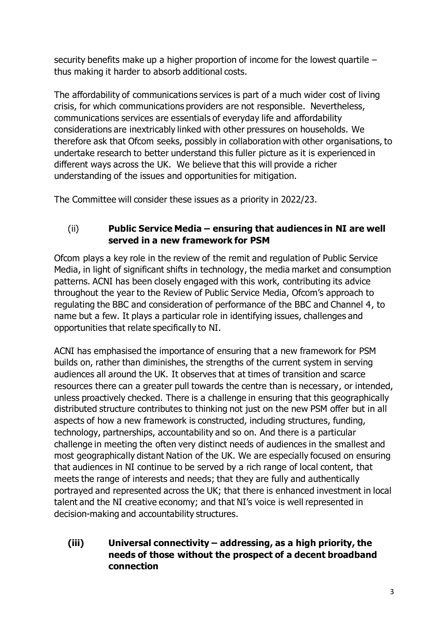security benefits make up a higher proportion of income for the lowest quartile – thus making it harder to absorb additional costs.

The affordability of communications services is part of a much wider cost of living crisis, for which communications providers are not responsible. Nevertheless, communications services are essentials of everyday life and affordability considerations are inextricably linked with other pressures on households. We therefore ask that Ofcom seeks, possibly in collaboration with other organisations, to undertake research to better understand this fuller picture as it is experienced in different ways across the UK. We believe that this will provide a richer understanding of the issues and opportunities for mitigation.

The Committee will consider these issues as a priority in 2022/23.

# (ii) **Public Service Media – ensuring that audiences in NI are well served in a new framework for PSM**

Ofcom plays a key role in the review of the remit and regulation of Public Service Media, in light of significant shifts in technology, the media market and consumption patterns. ACNI has been closely engaged with this work, contributing its advice throughout the year to the Review of Public Service Media, Ofcom's approach to regulating the BBC and consideration of performance of the BBC and Channel 4, to name but a few. It plays a particular role in identifying issues, challenges and opportunities that relate specifically to NI.

ACNI has emphasised the importance of ensuring that a new framework for PSM builds on, rather than diminishes, the strengths of the current system in serving audiences all around the UK. It observes that at times of transition and scarce resources there can a greater pull towards the centre than is necessary, or intended, unless proactively checked. There is a challenge in ensuring that this geographically distributed structure contributes to thinking not just on the new PSM offer but in all aspects of how a new framework is constructed, including structures, funding, technology, partnerships, accountability and so on. And there is a particular challenge in meeting the often very distinct needs of audiences in the smallest and most geographically distant Nation of the UK. We are especially focused on ensuring that audiences in NI continue to be served by a rich range of local content, that meets the range of interests and needs; that they are fully and authentically portrayed and represented across the UK; that there is enhanced investment in local talent and the NI creative economy; and that NI's voice is well represented in decision-making and accountability structures.

## **(iii) Universal connectivity – addressing, as a high priority, the needs of those without the prospect of a decent broadband connection**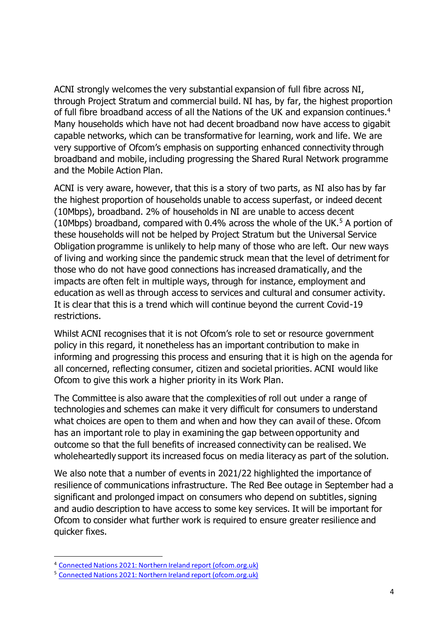ACNI strongly welcomes the very substantial expansion of full fibre across NI, through Project Stratum and commercial build. NI has, by far, the highest proportion of full fibre broadband access of all the Nations of the UK and expansion continues.<sup>4</sup> Many households which have not had decent broadband now have access to gigabit capable networks, which can be transformative for learning, work and life. We are very supportive of Ofcom's emphasis on supporting enhanced connectivity through broadband and mobile, including progressing the Shared Rural Network programme and the Mobile Action Plan.

ACNI is very aware, however, that this is a story of two parts, as NI also has by far the highest proportion of households unable to access superfast, or indeed decent (10Mbps), broadband. 2% of households in NI are unable to access decent (10Mbps) broadband, compared with 0.4% across the whole of the UK.<sup>5</sup> A portion of these households will not be helped by Project Stratum but the Universal Service Obligation programme is unlikely to help many of those who are left. Our new ways of living and working since the pandemic struck mean that the level of detriment for those who do not have good connections has increased dramatically, and the impacts are often felt in multiple ways, through for instance, employment and education as well as through access to services and cultural and consumer activity. It is clear that this is a trend which will continue beyond the current Covid-19 restrictions.

Whilst ACNI recognises that it is not Ofcom's role to set or resource government policy in this regard, it nonetheless has an important contribution to make in informing and progressing this process and ensuring that it is high on the agenda for all concerned, reflecting consumer, citizen and societal priorities. ACNI would like Ofcom to give this work a higher priority in its Work Plan.

The Committee is also aware that the complexities of roll out under a range of technologies and schemes can make it very difficult for consumers to understand what choices are open to them and when and how they can avail of these. Ofcom has an important role to play in examining the gap between opportunity and outcome so that the full benefits of increased connectivity can be realised. We wholeheartedly support its increased focus on media literacy as part of the solution.

We also note that a number of events in 2021/22 highlighted the importance of resilience of communications infrastructure. The Red Bee outage in September had a significant and prolonged impact on consumers who depend on subtitles, signing and audio description to have access to some key services. It will be important for Ofcom to consider what further work is required to ensure greater resilience and quicker fixes.

<sup>4</sup> [Connected Nations 2021: Northern Ireland report \(ofcom.org.uk\)](https://www.ofcom.org.uk/__data/assets/pdf_file/0023/229721/connected-nations-2021-northern-ireland.pdf)

<sup>5</sup> [Connected Nations 2021: Northern Ireland report \(ofcom.org.uk\)](https://www.ofcom.org.uk/__data/assets/pdf_file/0023/229721/connected-nations-2021-northern-ireland.pdf)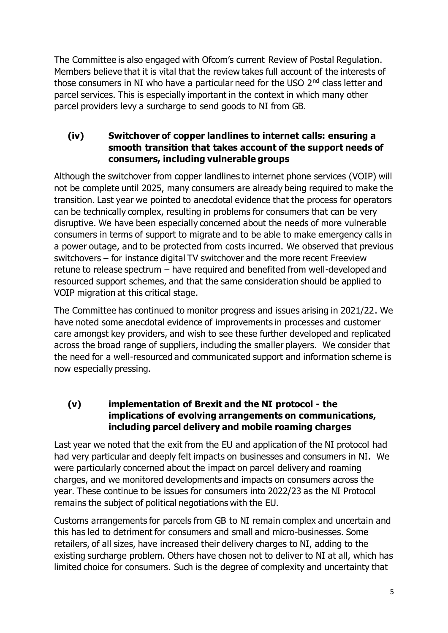The Committee is also engaged with Ofcom's current Review of Postal Regulation. Members believe that it is vital that the review takes full account of the interests of those consumers in NI who have a particular need for the USO  $2<sup>nd</sup>$  class letter and parcel services. This is especially important in the context in which many other parcel providers levy a surcharge to send goods to NI from GB.

## **(iv) Switchover of copper landlines to internet calls: ensuring a smooth transition that takes account of the support needs of consumers, including vulnerable groups**

Although the switchover from copper landlines to internet phone services (VOIP) will not be complete until 2025, many consumers are already being required to make the transition. Last year we pointed to anecdotal evidence that the process for operators can be technically complex, resulting in problems for consumers that can be very disruptive. We have been especially concerned about the needs of more vulnerable consumers in terms of support to migrate and to be able to make emergency calls in a power outage, and to be protected from costs incurred. We observed that previous switchovers – for instance digital TV switchover and the more recent Freeview retune to release spectrum – have required and benefited from well-developed and resourced support schemes, and that the same consideration should be applied to VOIP migration at this critical stage.

The Committee has continued to monitor progress and issues arising in 2021/22. We have noted some anecdotal evidence of improvements in processes and customer care amongst key providers, and wish to see these further developed and replicated across the broad range of suppliers, including the smaller players. We consider that the need for a well-resourced and communicated support and information scheme is now especially pressing.

## **(v) implementation of Brexit and the NI protocol - the implications of evolving arrangements on communications, including parcel delivery and mobile roaming charges**

Last year we noted that the exit from the EU and application of the NI protocol had had very particular and deeply felt impacts on businesses and consumers in NI. We were particularly concerned about the impact on parcel delivery and roaming charges, and we monitored developments and impacts on consumers across the year. These continue to be issues for consumers into 2022/23 as the NI Protocol remains the subject of political negotiations with the EU.

Customs arrangements for parcels from GB to NI remain complex and uncertain and this has led to detriment for consumers and small and micro-businesses. Some retailers, of all sizes, have increased their delivery charges to NI, adding to the existing surcharge problem. Others have chosen not to deliver to NI at all, which has limited choice for consumers. Such is the degree of complexity and uncertainty that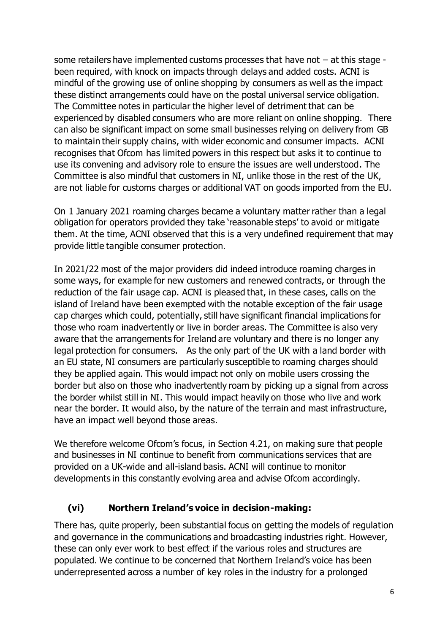some retailers have implemented customs processes that have not – at this stage been required, with knock on impacts through delays and added costs. ACNI is mindful of the growing use of online shopping by consumers as well as the impact these distinct arrangements could have on the postal universal service obligation. The Committee notes in particular the higher level of detriment that can be experienced by disabled consumers who are more reliant on online shopping. There can also be significant impact on some small businesses relying on delivery from GB to maintain their supply chains, with wider economic and consumer impacts. ACNI recognises that Ofcom has limited powers in this respect but asks it to continue to use its convening and advisory role to ensure the issues are well understood. The Committee is also mindful that customers in NI, unlike those in the rest of the UK, are not liable for customs charges or additional VAT on goods imported from the EU.

On 1 January 2021 roaming charges became a voluntary matter rather than a legal obligation for operators provided they take 'reasonable steps' to avoid or mitigate them. At the time, ACNI observed that this is a very undefined requirement that may provide little tangible consumer protection.

In 2021/22 most of the major providers did indeed introduce roaming charges in some ways, for example for new customers and renewed contracts, or through the reduction of the fair usage cap. ACNI is pleased that, in these cases, calls on the island of Ireland have been exempted with the notable exception of the fair usage cap charges which could, potentially, still have significant financial implications for those who roam inadvertently or live in border areas. The Committee is also very aware that the arrangements for Ireland are voluntary and there is no longer any legal protection for consumers. As the only part of the UK with a land border with an EU state, NI consumers are particularly susceptible to roaming charges should they be applied again. This would impact not only on mobile users crossing the border but also on those who inadvertently roam by picking up a signal from across the border whilst still in NI. This would impact heavily on those who live and work near the border. It would also, by the nature of the terrain and mast infrastructure, have an impact well beyond those areas.

We therefore welcome Ofcom's focus, in Section 4.21, on making sure that people and businesses in NI continue to benefit from communications services that are provided on a UK-wide and all-island basis. ACNI will continue to monitor developments in this constantly evolving area and advise Ofcom accordingly.

## **(vi) Northern Ireland's voice in decision-making:**

There has, quite properly, been substantial focus on getting the models of regulation and governance in the communications and broadcasting industries right. However, these can only ever work to best effect if the various roles and structures are populated. We continue to be concerned that Northern Ireland's voice has been underrepresented across a number of key roles in the industry for a prolonged